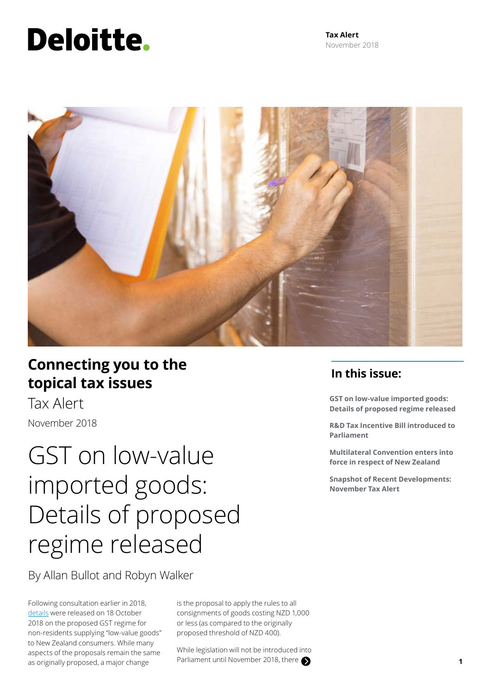# Deloitte.

**Tax Alert** November 2018



# **Connecting you to the topical tax issues**

Tax Alert November 2018

# GST on low-value imported goods: Details of proposed regime released

By Allan Bullot and Robyn Walker

Following consultation earlier in 2018, [details](https://taxpolicy.ird.govt.nz/news/2018-10-18-proposed-new-rules-gst-low-value-imported-goods-announced#q-and-a) were released on 18 October 2018 on the proposed GST regime for non-residents supplying "low-value goods" to New Zealand consumers. While many aspects of the proposals remain the same as originally proposed, a major change

is the proposal to apply the rules to all consignments of goods costing NZD 1,000 or less (as compared to the originally proposed threshold of NZD 400).

While legislation will not be introduced into Parliament until November 2018, there **1 1** 

# **In this issue:**

**GST on low-value imported goods: Details of proposed regime released**

**R&D Tax Incentive Bill introduced to Parliament**

**Multilateral Convention enters into force in respect of New Zealand**

**Snapshot of Recent Developments: November Tax Alert**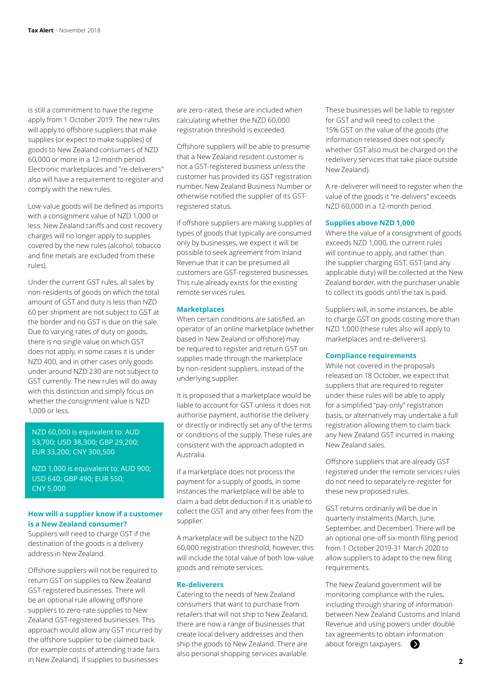is still a commitment to have the regime apply from 1 October 2019. The new rules will apply to offshore suppliers that make supplies (or expect to make supplies) of goods to New Zealand consumers of NZD 60,000 or more in a 12-month period. Electronic marketplaces and "re-deliverers" also will have a requirement to register and comply with the new rules.

Low-value goods will be defined as imports with a consignment value of NZD 1,000 or less. New Zealand tariffs and cost recovery charges will no longer apply to supplies covered by the new rules (alcohol, tobacco and fine metals are excluded from these rules).

Under the current GST rules, all sales by non-residents of goods on which the total amount of GST and duty is less than NZD 60 per shipment are not subject to GST at the border and no GST is due on the sale. Due to varying rates of duty on goods, there is no single value on which GST does not apply, in some cases it is under NZD 400, and in other cases only goods under around NZD 230 are not subject to GST currently. The new rules will do away with this distinction and simply focus on whether the consignment value is NZD 1,000 or less.

# NZD 60,000 is equivalent to: AUD 53,700; USD 38,300; GBP 29,200; EUR 33,200; CNY 300,500

NZD 1,000 is equivalent to: AUD 900; USD 640; GBP 490; EUR 550; CNY 5,000

### **How will a supplier know if a customer is a New Zealand consumer?**

Suppliers will need to charge GST if the destination of the goods is a delivery address in New Zealand.

Offshore suppliers will not be required to return GST on supplies to New Zealand GST-registered businesses. There will be an optional rule allowing offshore suppliers to zero-rate supplies to New Zealand GST-registered businesses. This approach would allow any GST incurred by the offshore supplier to be claimed back (for example costs of attending trade fairs in New Zealand). If supplies to businesses

are zero-rated, these are included when calculating whether the NZD 60,000 registration threshold is exceeded.

Offshore suppliers will be able to presume that a New Zealand resident customer is not a GST-registered business unless the customer has provided its GST registration number, New Zealand Business Number or otherwise notified the supplier of its GSTregistered status.

If offshore suppliers are making supplies of types of goods that typically are consumed only by businesses, we expect it will be possible to seek agreement from Inland Revenue that it can be presumed all customers are GST-registered businesses. This rule already exists for the existing remote services rules.

#### **Marketplaces**

When certain conditions are satisfied, an operator of an online marketplace (whether based in New Zealand or offshore) may be required to register and return GST on supplies made through the marketplace by non-resident suppliers, instead of the underlying supplier.

It is proposed that a marketplace would be liable to account for GST unless it does not authorise payment, authorise the delivery or directly or indirectly set any of the terms or conditions of the supply. These rules are consistent with the approach adopted in Australia.

If a marketplace does not process the payment for a supply of goods, in some instances the marketplace will be able to claim a bad debt deduction if it is unable to collect the GST and any other fees from the supplier.

A marketplace will be subject to the NZD 60,000 registration threshold; however, this will include the total value of both low-value goods and remote services.

#### **Re-deliverers**

Catering to the needs of New Zealand consumers that want to purchase from retailers that will not ship to New Zealand, there are now a range of businesses that create local delivery addresses and then ship the goods to New Zealand. There are also personal shopping services available. These businesses will be liable to register for GST and will need to collect the 15% GST on the value of the goods (the information released does not specify whether GST also must be charged on the redelivery services that take place outside New Zealand).

A re-deliverer will need to register when the value of the goods it "re-delivers" exceeds NZD 60,000 in a 12-month period.

#### **Supplies above NZD 1,000**

Where the value of a consignment of goods exceeds NZD 1,000, the current rules will continue to apply, and rather than the supplier charging GST, GST (and any applicable duty) will be collected at the New Zealand border, with the purchaser unable to collect its goods until the tax is paid.

Suppliers will, in some instances, be able to charge GST on goods costing more than NZD 1,000 (these rules also will apply to marketplaces and re-deliverers).

# **Compliance requirements**

While not covered in the proposals released on 18 October, we expect that suppliers that are required to register under these rules will be able to apply for a simplified "pay-only" registration basis, or alternatively may undertake a full registration allowing them to claim back any New Zealand GST incurred in making New Zealand sales.

Offshore suppliers that are already GST registered under the remote services rules do not need to separately re-register for these new proposed rules.

GST returns ordinarily will be due in quarterly instalments (March, June, September, and December). There will be an optional one-off six-month filing period from 1 October 2019-31 March 2020 to allow suppliers to adapt to the new filing requirements.

The New Zealand government will be monitoring compliance with the rules, including through sharing of information between New Zealand Customs and Inland Revenue and using powers under double tax agreements to obtain information about foreign taxpayers.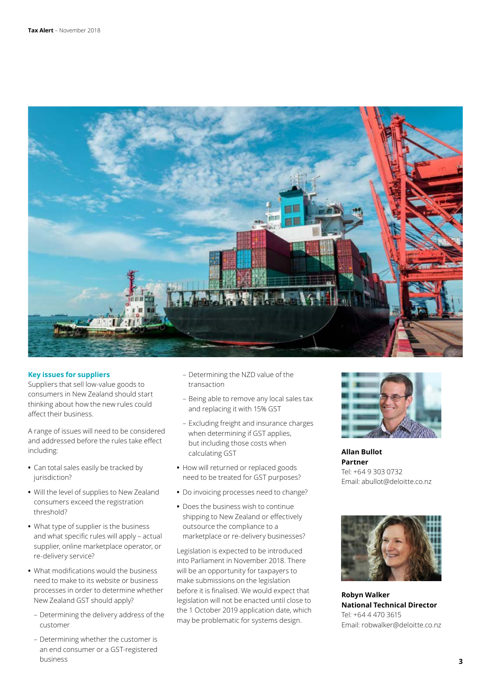

#### **Key issues for suppliers**

Suppliers that sell low-value goods to consumers in New Zealand should start thinking about how the new rules could affect their business.

A range of issues will need to be considered and addressed before the rules take effect including:

- **•** Can total sales easily be tracked by jurisdiction?
- **•** Will the level of supplies to New Zealand consumers exceed the registration threshold?
- **•** What type of supplier is the business and what specific rules will apply – actual supplier, online marketplace operator, or re-delivery service?
- **•** What modifications would the business need to make to its website or business processes in order to determine whether New Zealand GST should apply?
	- Determining the delivery address of the customer
	- Determining whether the customer is an end consumer or a GST-registered business
- Determining the NZD value of the transaction
- Being able to remove any local sales tax and replacing it with 15% GST
- Excluding freight and insurance charges when determining if GST applies, but including those costs when calculating GST
- **•** How will returned or replaced goods need to be treated for GST purposes?
- **•** Do invoicing processes need to change?
- **•** Does the business wish to continue shipping to New Zealand or effectively outsource the compliance to a marketplace or re-delivery businesses?

Legislation is expected to be introduced into Parliament in November 2018. There will be an opportunity for taxpayers to make submissions on the legislation before it is finalised. We would expect that legislation will not be enacted until close to the 1 October 2019 application date, which may be problematic for systems design.



**Allan Bullot Partner** Tel: +64 9 303 0732 Email: abullot@deloitte.co.nz



**Robyn Walker National Technical Director** Tel: +64 4 470 3615 Email: robwalker@deloitte.co.nz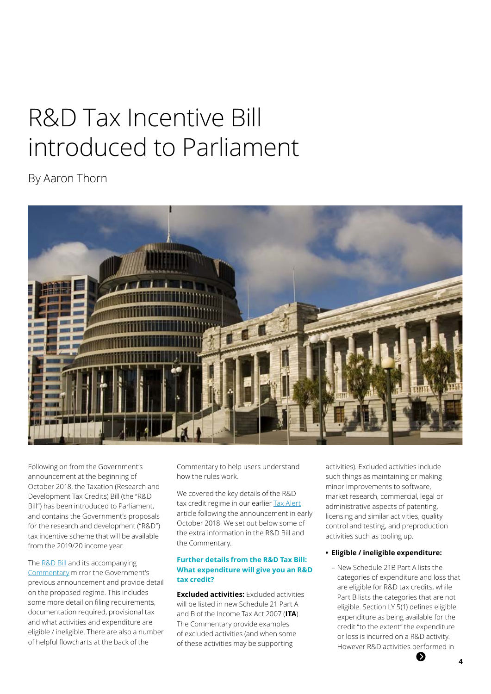# R&D Tax Incentive Bill introduced to Parliament

By Aaron Thorn



Following on from the Government's announcement at the beginning of October 2018, the Taxation (Research and Development Tax Credits) Bill (the "R&D Bill") has been introduced to Parliament, and contains the Government's proposals for the research and development ("R&D") tax incentive scheme that will be available from the 2019/20 income year.

The [R&D Bill](http://legislation.govt.nz/bill/government/2018/0108/latest/whole.html#LMS110236) and its accompanying [Commentary](https://taxpolicy.ird.govt.nz/sites/default/files/2018-commentary-rdtc-bill.pdf) mirror the Government's previous announcement and provide detail on the proposed regime. This includes some more detail on filing requirements, documentation required, provisional tax and what activities and expenditure are eligible / ineligible. There are also a number of helpful flowcharts at the back of the

Commentary to help users understand how the rules work.

We covered the key details of the R&D tax credit regime in our earlier [Tax Alert](https://www2.deloitte.com/nz/en/pages/tax-alerts/articles/government-announces-r-and-d-tax-incentive-scheme-details.html) article following the announcement in early October 2018. We set out below some of the extra information in the R&D Bill and the Commentary.

### **Further details from the R&D Tax Bill: What expenditure will give you an R&D tax credit?**

**Excluded activities:** Excluded activities will be listed in new Schedule 21 Part A and B of the Income Tax Act 2007 (**ITA**). The Commentary provide examples of excluded activities (and when some of these activities may be supporting

activities). Excluded activities include such things as maintaining or making minor improvements to software, market research, commercial, legal or administrative aspects of patenting, licensing and similar activities, quality control and testing, and preproduction activities such as tooling up.

### **• Eligible / ineligible expenditure:**

– New Schedule 21B Part A lists the categories of expenditure and loss that are eligible for R&D tax credits, while Part B lists the categories that are not eligible. Section LY 5(1) defines eligible expenditure as being available for the credit "to the extent" the expenditure or loss is incurred on a R&D activity. However R&D activities performed in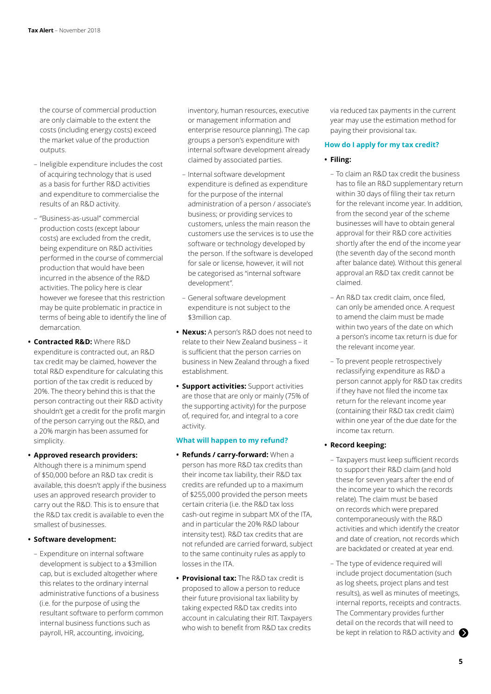the course of commercial production are only claimable to the extent the costs (including energy costs) exceed the market value of the production outputs.

- Ineligible expenditure includes the cost of acquiring technology that is used as a basis for further R&D activities and expenditure to commercialise the results of an R&D activity.
- "Business-as-usual" commercial production costs (except labour costs) are excluded from the credit, being expenditure on R&D activities performed in the course of commercial production that would have been incurred in the absence of the R&D activities. The policy here is clear however we foresee that this restriction may be quite problematic in practice in terms of being able to identify the line of demarcation.
- **• Contracted R&D:** Where R&D expenditure is contracted out, an R&D tax credit may be claimed, however the total R&D expenditure for calculating this portion of the tax credit is reduced by 20%. The theory behind this is that the person contracting out their R&D activity shouldn't get a credit for the profit margin of the person carrying out the R&D, and a 20% margin has been assumed for simplicity.

#### **• Approved research providers:**

Although there is a minimum spend of \$50,000 before an R&D tax credit is available, this doesn't apply if the business uses an approved research provider to carry out the R&D. This is to ensure that the R&D tax credit is available to even the smallest of businesses.

#### **• Software development:**

– Expenditure on internal software development is subject to a \$3million cap, but is excluded altogether where this relates to the ordinary internal administrative functions of a business (i.e. for the purpose of using the resultant software to perform common internal business functions such as payroll, HR, accounting, invoicing,

inventory, human resources, executive or management information and enterprise resource planning). The cap groups a person's expenditure with internal software development already claimed by associated parties.

- Internal software development expenditure is defined as expenditure for the purpose of the internal administration of a person / associate's business; or providing services to customers, unless the main reason the customers use the services is to use the software or technology developed by the person. If the software is developed for sale or license, however, it will not be categorised as "internal software development".
- General software development expenditure is not subject to the \$3million cap.
- **• Nexus:** A person's R&D does not need to relate to their New Zealand business – it is sufficient that the person carries on business in New Zealand through a fixed establishment.
- **• Support activities:** Support activities are those that are only or mainly (75% of the supporting activity) for the purpose of, required for, and integral to a core activity.

#### **What will happen to my refund?**

- **• Refunds / carry-forward:** When a person has more R&D tax credits than their income tax liability, their R&D tax credits are refunded up to a maximum of \$255,000 provided the person meets certain criteria (i.e. the R&D tax loss cash-out regime in subpart MX of the ITA, and in particular the 20% R&D labour intensity test). R&D tax credits that are not refunded are carried forward, subject to the same continuity rules as apply to losses in the ITA.
- **• Provisional tax:** The R&D tax credit is proposed to allow a person to reduce their future provisional tax liability by taking expected R&D tax credits into account in calculating their RIT. Taxpayers who wish to benefit from R&D tax credits

via reduced tax payments in the current year may use the estimation method for paying their provisional tax.

#### **How do I apply for my tax credit?**

#### **• Filing:**

- To claim an R&D tax credit the business has to file an R&D supplementary return within 30 days of filing their tax return for the relevant income year. In addition, from the second year of the scheme businesses will have to obtain general approval for their R&D core activities shortly after the end of the income year (the seventh day of the second month after balance date). Without this general approval an R&D tax credit cannot be claimed.
- An R&D tax credit claim, once filed, can only be amended once. A request to amend the claim must be made within two years of the date on which a person's income tax return is due for the relevant income year.
- To prevent people retrospectively reclassifying expenditure as R&D a person cannot apply for R&D tax credits if they have not filed the income tax return for the relevant income year (containing their R&D tax credit claim) within one year of the due date for the income tax return.

#### **• Record keeping:**

- Taxpayers must keep sufficient records to support their R&D claim (and hold these for seven years after the end of the income year to which the records relate). The claim must be based on records which were prepared contemporaneously with the R&D activities and which identify the creator and date of creation, not records which are backdated or created at year end.
- The type of evidence required will include project documentation (such as log sheets, project plans and test results), as well as minutes of meetings, internal reports, receipts and contracts. The Commentary provides further detail on the records that will need to be kept in relation to R&D activity and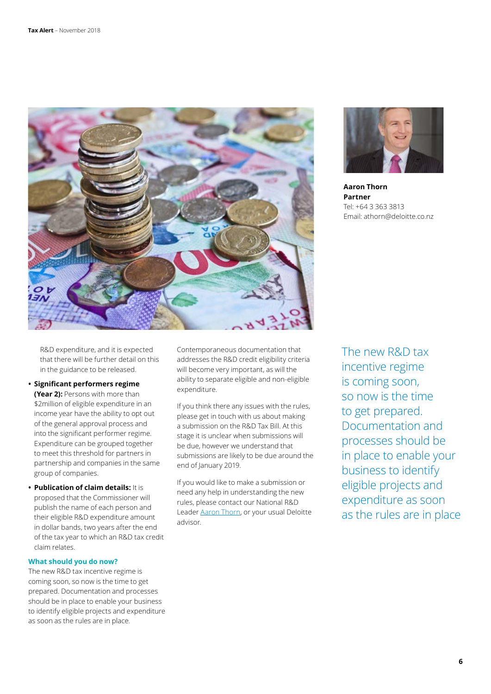



**Aaron Thorn Partner** Tel: +64 3 363 3813 Email: athorn@deloitte.co.nz

R&D expenditure, and it is expected that there will be further detail on this in the guidance to be released.

**• Significant performers regime** 

**(Year 2):** Persons with more than \$2million of eligible expenditure in an income year have the ability to opt out of the general approval process and into the significant performer regime. Expenditure can be grouped together to meet this threshold for partners in partnership and companies in the same group of companies.

**• Publication of claim details:** It is proposed that the Commissioner will publish the name of each person and their eligible R&D expenditure amount in dollar bands, two years after the end of the tax year to which an R&D tax credit claim relates.

#### **What should you do now?**

The new R&D tax incentive regime is coming soon, so now is the time to get prepared. Documentation and processes should be in place to enable your business to identify eligible projects and expenditure as soon as the rules are in place.

Contemporaneous documentation that addresses the R&D credit eligibility criteria will become very important, as will the ability to separate eligible and non-eligible expenditure.

If you think there any issues with the rules, please get in touch with us about making a submission on the R&D Tax Bill. At this stage it is unclear when submissions will be due, however we understand that submissions are likely to be due around the end of January 2019.

If you would like to make a submission or need any help in understanding the new rules, please contact our National R&D Leader [Aaron Thorn,](mailto:athorn%40deloitte.co.nz?subject=) or your usual Deloitte advisor.

The new R&D tax incentive regime is coming soon, so now is the time to get prepared. Documentation and processes should be in place to enable your business to identify eligible projects and expenditure as soon as the rules are in place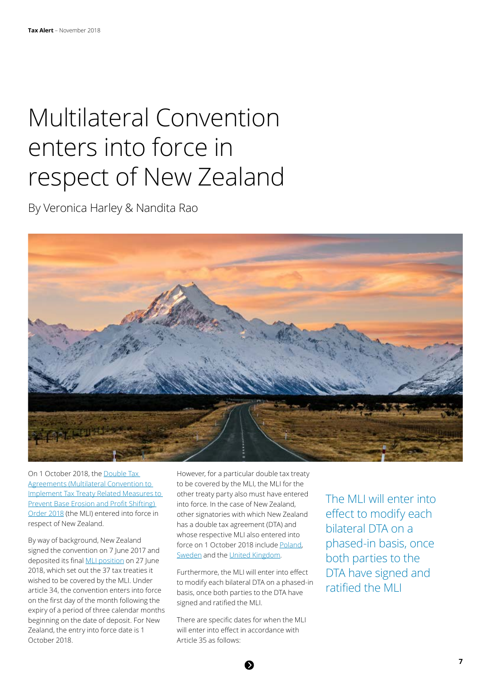# Multilateral Convention enters into force in respect of New Zealand

By Veronica Harley & Nandita Rao



On 1 October 2018, the [Double Tax](http://www.legislation.govt.nz/regulation/public/2018/0072/latest/versions.aspx)  [Agreements \(Multilateral Convention to](http://www.legislation.govt.nz/regulation/public/2018/0072/latest/versions.aspx)  [Implement Tax Treaty Related Measures to](http://www.legislation.govt.nz/regulation/public/2018/0072/latest/versions.aspx)  [Prevent Base Erosion and Profit Shifting\)](http://www.legislation.govt.nz/regulation/public/2018/0072/latest/versions.aspx)  [Order 2018](http://www.legislation.govt.nz/regulation/public/2018/0072/latest/versions.aspx) (the MLI) entered into force in respect of New Zealand.

By way of background, New Zealand signed the convention on 7 June 2017 and deposited its final [MLI position](http://www.oecd.org/tax/treaties/beps-mli-position-new-zealand-instrument-deposit.pdf) on 27 June 2018, which set out the 37 tax treaties it wished to be covered by the MLI. Under article 34, the convention enters into force on the first day of the month following the expiry of a period of three calendar months beginning on the date of deposit. For New Zealand, the entry into force date is 1 October 2018.

However, for a particular double tax treaty to be covered by the MLI, the MLI for the other treaty party also must have entered into force. In the case of New Zealand, other signatories with which New Zealand has a double tax agreement (DTA) and whose respective MLI also entered into force on 1 October 2018 include [Poland,](http://www.oecd.org/tax/treaties/beps-mli-position-poland-instrument-deposit.pdf) [Sweden](http://www.oecd.org/tax/treaties/beps-mli-position-sweden-instrument-deposit.pdf) and the [United Kingdom.](http://www.oecd.org/tax/treaties/beps-mli-position-united-kingdom-instrument-deposit.pdf)

Furthermore, the MLI will enter into effect to modify each bilateral DTA on a phased-in basis, once both parties to the DTA have signed and ratified the MLI.

There are specific dates for when the MLI will enter into effect in accordance with Article 35 as follows:

The MLI will enter into effect to modify each bilateral DTA on a phased-in basis, once both parties to the DTA have signed and ratified the MLI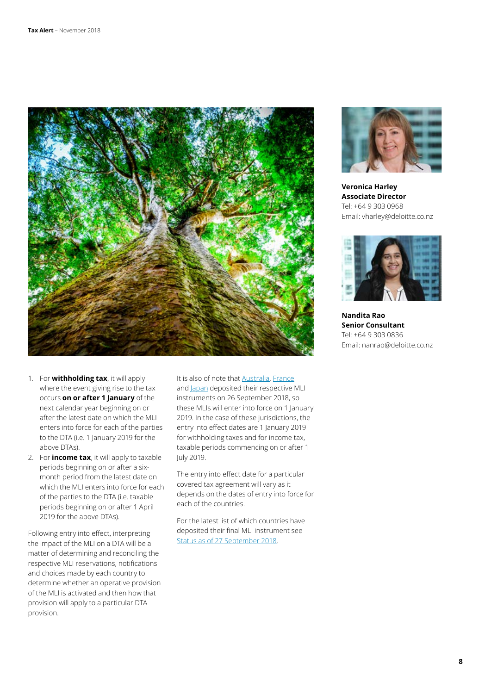

- 1. For **withholding tax**, it will apply where the event giving rise to the tax occurs **on or after 1 January** of the next calendar year beginning on or after the latest date on which the MLI enters into force for each of the parties to the DTA (i.e. 1 January 2019 for the above DTAs).
- 2. For **income tax**, it will apply to taxable periods beginning on or after a sixmonth period from the latest date on which the MLI enters into force for each of the parties to the DTA (i.e. taxable periods beginning on or after 1 April 2019 for the above DTAs).

Following entry into effect, interpreting the impact of the MLI on a DTA will be a matter of determining and reconciling the respective MLI reservations, notifications and choices made by each country to determine whether an operative provision of the MLI is activated and then how that provision will apply to a particular DTA provision.

It is also of note that **Australia**, [France](http://www.oecd.org/tax/treaties/beps-mli-position-france-instrument-deposit.pdf) and [Japan](http://www.oecd.org/tax/treaties/beps-mli-position-japan-instrument-deposit.pdf) deposited their respective MLI instruments on 26 September 2018, so these MLIs will enter into force on 1 January 2019. In the case of these jurisdictions, the entry into effect dates are 1 January 2019 for withholding taxes and for income tax, taxable periods commencing on or after 1 July 2019.

The entry into effect date for a particular covered tax agreement will vary as it depends on the dates of entry into force for each of the countries.

For the latest list of which countries have deposited their final MLI instrument see [Status as of 27 September 2018.](http://www.oecd.org/tax/treaties/beps-mli-signatories-and-parties.pdf)



**Veronica Harley Associate Director** Tel: +64 9 303 0968 Email: vharley@deloitte.co.nz



**Nandita Rao Senior Consultant** Tel: +64 9 303 0836 Email: nanrao@deloitte.co.nz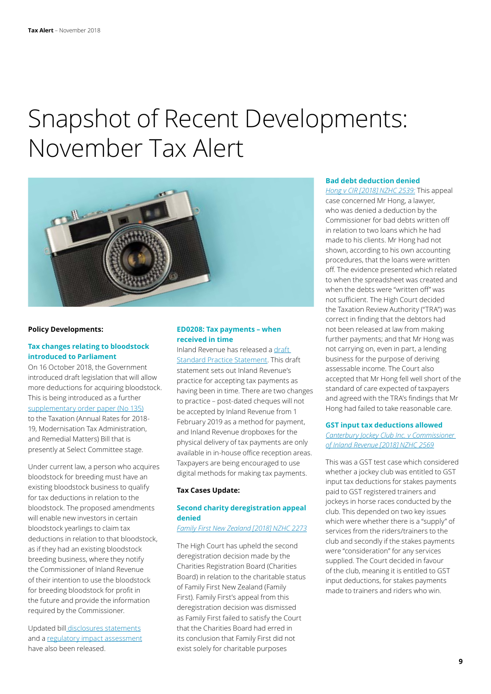# Snapshot of Recent Developments: November Tax Alert



#### **Policy Developments:**

# **Tax changes relating to bloodstock introduced to Parliament**

On 16 October 2018, the Government introduced draft legislation that will allow more deductions for acquiring bloodstock. This is being introduced as a further [supplementary order paper \(No 135\)](http://legislation.govt.nz/sop/government/2018/0135/latest/whole.html) to the Taxation (Annual Rates for 2018- 19, Modernisation Tax Administration,

and Remedial Matters) Bill that is presently at Select Committee stage.

Under current law, a person who acquires bloodstock for breeding must have an existing bloodstock business to qualify for tax deductions in relation to the bloodstock. The proposed amendments will enable new investors in certain bloodstock yearlings to claim tax deductions in relation to that bloodstock, as if they had an existing bloodstock breeding business, where they notify the Commissioner of Inland Revenue of their intention to use the bloodstock for breeding bloodstock for profit in the future and provide the information required by the Commissioner.

Updated bil[l disclosures statements](http://disclosure.legislation.govt.nz/assets/disclosures/sop-government-2018-135.pdf) and a [regulatory impact assessment](https://taxpolicy.ird.govt.nz/sites/default/files/2018-ria-sop-135-armtarm-bill.pdf) have also been released.

# **ED0208: Tax payments – when received in time**

Inland Revenue has released a [draft](https://www.ird.govt.nz/resources/1/2/12fca7f7-a25d-4851-bcd4-d8971a9e19ab/ed0208.pdf)  [Standard Practice Statement](https://www.ird.govt.nz/resources/1/2/12fca7f7-a25d-4851-bcd4-d8971a9e19ab/ed0208.pdf). This draft statement sets out Inland Revenue's practice for accepting tax payments as having been in time. There are two changes to practice – post-dated cheques will not be accepted by Inland Revenue from 1 February 2019 as a method for payment, and Inland Revenue dropboxes for the physical delivery of tax payments are only available in in-house office reception areas. Taxpayers are being encouraged to use digital methods for making tax payments.

## **Tax Cases Update:**

# **Second charity deregistration appeal denied**

# *[Family First New Zealand \[2018\] NZHC 2273](https://forms.justice.govt.nz/search/Documents/pdf/jdo/69/alfresco/service/api/node/content/workspace/SpacesStore/9f34b3d7-c268-430f-bd48-4d57d61a113e/9f34b3d7-c268-430f-bd48-4d57d61a113e.pdf)*

The High Court has upheld the second deregistration decision made by the Charities Registration Board (Charities Board) in relation to the charitable status of Family First New Zealand (Family First). Family First's appeal from this deregistration decision was dismissed as Family First failed to satisfy the Court that the Charities Board had erred in its conclusion that Family First did not exist solely for charitable purposes

### **Bad debt deduction denied**

*[Hong v CIR \[2018\] NZHC 2539:](https://forms.justice.govt.nz/search/Documents/pdf/jdo/da/alfresco/service/api/node/content/workspace/SpacesStore/ac1c195f-d0d3-4546-8d32-8d9ef526d1ab/ac1c195f-d0d3-4546-8d32-8d9ef526d1ab.pdf)* This appeal case concerned Mr Hong, a lawyer, who was denied a deduction by the Commissioner for bad debts written off in relation to two loans which he had made to his clients. Mr Hong had not shown, according to his own accounting procedures, that the loans were written off. The evidence presented which related to when the spreadsheet was created and when the debts were "written off" was not sufficient. The High Court decided the Taxation Review Authority ("TRA") was correct in finding that the debtors had not been released at law from making further payments; and that Mr Hong was not carrying on, even in part, a lending business for the purpose of deriving assessable income. The Court also accepted that Mr Hong fell well short of the standard of care expected of taxpayers and agreed with the TRA's findings that Mr Hong had failed to take reasonable care.

### **GST input tax deductions allowed** *[Canterbury Jockey Club Inc. v Commissioner](https://forms.justice.govt.nz/search/Documents/pdf/jdo/c0/alfresco/service/api/node/content/workspace/SpacesStore/6988defb-28bd-481b-9c1d-69e6796e6f37/6988defb-28bd-481b-9c1d-69e6796e6f37.pdf)  [of Inland Revenue \[2018\] NZHC 2569](https://forms.justice.govt.nz/search/Documents/pdf/jdo/c0/alfresco/service/api/node/content/workspace/SpacesStore/6988defb-28bd-481b-9c1d-69e6796e6f37/6988defb-28bd-481b-9c1d-69e6796e6f37.pdf)*

This was a GST test case which considered whether a jockey club was entitled to GST input tax deductions for stakes payments paid to GST registered trainers and jockeys in horse races conducted by the club. This depended on two key issues which were whether there is a "supply" of services from the riders/trainers to the club and secondly if the stakes payments were "consideration" for any services supplied. The Court decided in favour of the club, meaning it is entitled to GST input deductions, for stakes payments made to trainers and riders who win.